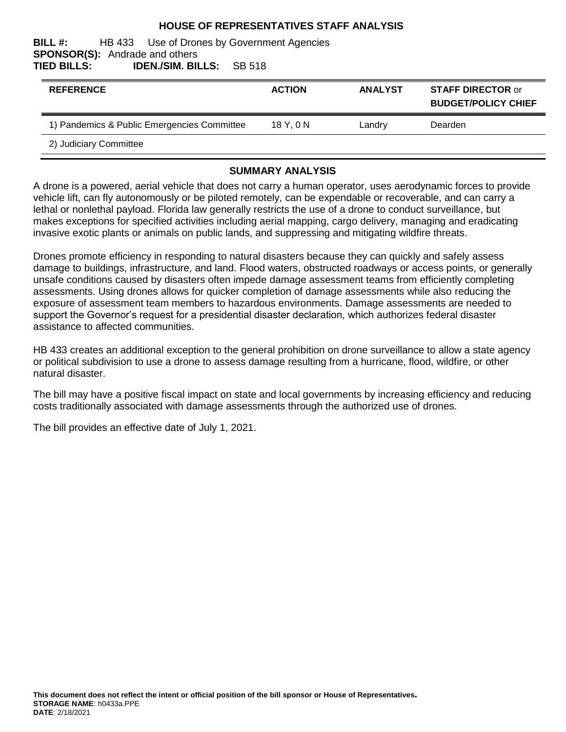#### **HOUSE OF REPRESENTATIVES STAFF ANALYSIS**

#### **BILL #:** HB 433 Use of Drones by Government Agencies **SPONSOR(S):** Andrade and others **TIED BILLS: IDEN./SIM. BILLS:** SB 518

| <b>REFERENCE</b>                            | <b>ACTION</b> | <b>ANALYST</b> | <b>STAFF DIRECTOR or</b><br><b>BUDGET/POLICY CHIEF</b> |
|---------------------------------------------|---------------|----------------|--------------------------------------------------------|
| 1) Pandemics & Public Emergencies Committee | $18$ Y. $0$ N | Landry         | Dearden                                                |
| 2) Judiciary Committee                      |               |                |                                                        |

#### **SUMMARY ANALYSIS**

A drone is a powered, aerial vehicle that does not carry a human operator, uses aerodynamic forces to provide vehicle lift, can fly autonomously or be piloted remotely, can be expendable or recoverable, and can carry a lethal or nonlethal payload. Florida law generally restricts the use of a drone to conduct surveillance, but makes exceptions for specified activities including aerial mapping, cargo delivery, managing and eradicating invasive exotic plants or animals on public lands, and suppressing and mitigating wildfire threats.

Drones promote efficiency in responding to natural disasters because they can quickly and safely assess damage to buildings, infrastructure, and land. Flood waters, obstructed roadways or access points, or generally unsafe conditions caused by disasters often impede damage assessment teams from efficiently completing assessments. Using drones allows for quicker completion of damage assessments while also reducing the exposure of assessment team members to hazardous environments. Damage assessments are needed to support the Governor's request for a presidential disaster declaration, which authorizes federal disaster assistance to affected communities.

HB 433 creates an additional exception to the general prohibition on drone surveillance to allow a state agency or political subdivision to use a drone to assess damage resulting from a hurricane, flood, wildfire, or other natural disaster.

The bill may have a positive fiscal impact on state and local governments by increasing efficiency and reducing costs traditionally associated with damage assessments through the authorized use of drones.

The bill provides an effective date of July 1, 2021.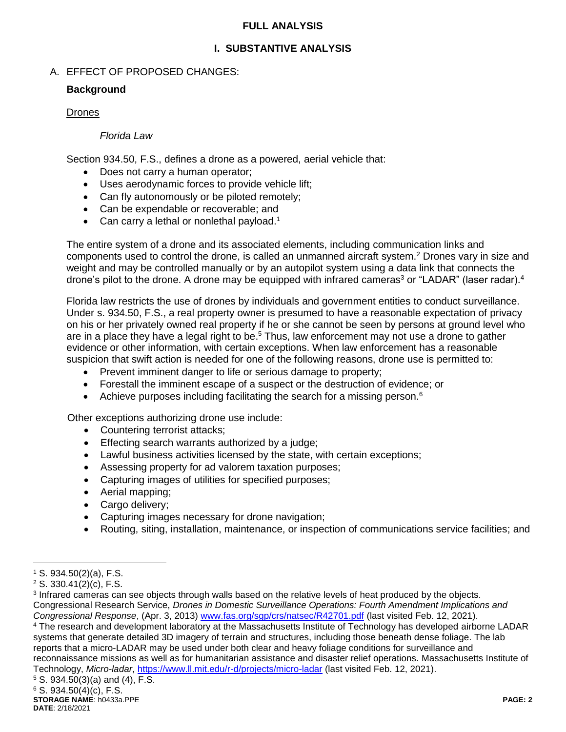#### **FULL ANALYSIS**

### **I. SUBSTANTIVE ANALYSIS**

### A. EFFECT OF PROPOSED CHANGES:

#### **Background**

#### Drones

#### *Florida Law*

Section 934.50, F.S., defines a drone as a powered, aerial vehicle that:

- Does not carry a human operator;
- Uses aerodynamic forces to provide vehicle lift;
- Can fly autonomously or be piloted remotely;
- Can be expendable or recoverable; and
- Can carry a lethal or nonlethal payload.<sup>1</sup>

The entire system of a drone and its associated elements, including communication links and components used to control the drone, is called an unmanned aircraft system.<sup>2</sup> Drones vary in size and weight and may be controlled manually or by an autopilot system using a data link that connects the drone's pilot to the drone. A drone may be equipped with infrared cameras<sup>3</sup> or "LADAR" (laser radar).<sup>4</sup>

Florida law restricts the use of drones by individuals and government entities to conduct surveillance. Under s. 934.50, F.S., a real property owner is presumed to have a reasonable expectation of privacy on his or her privately owned real property if he or she cannot be seen by persons at ground level who are in a place they have a legal right to be.<sup>5</sup> Thus, law enforcement may not use a drone to gather evidence or other information, with certain exceptions. When law enforcement has a reasonable suspicion that swift action is needed for one of the following reasons, drone use is permitted to:

- Prevent imminent danger to life or serious damage to property;
- Forestall the imminent escape of a suspect or the destruction of evidence; or
- Achieve purposes including facilitating the search for a missing person.<sup>6</sup>

Other exceptions authorizing drone use include:

- Countering terrorist attacks;
- Effecting search warrants authorized by a judge;
- Lawful business activities licensed by the state, with certain exceptions;
- Assessing property for ad valorem taxation purposes;
- Capturing images of utilities for specified purposes;
- Aerial mapping;
- Cargo delivery:
- Capturing images necessary for drone navigation;
- Routing, siting, installation, maintenance, or inspection of communications service facilities; and

 $\overline{a}$ 

reports that a micro-LADAR may be used under both clear and heavy foliage conditions for surveillance and reconnaissance missions as well as for humanitarian assistance and disaster relief operations. Massachusetts Institute of Technology, *Micro-ladar*,<https://www.ll.mit.edu/r-d/projects/micro-ladar> (last visited Feb. 12, 2021).

 $1$  S. 934.50(2)(a), F.S.

<sup>2</sup> S. 330.41(2)(c), F.S.

<sup>&</sup>lt;sup>3</sup> Infrared cameras can see objects through walls based on the relative levels of heat produced by the objects. Congressional Research Service, *Drones in Domestic Surveillance Operations: Fourth Amendment Implications and Congressional Response*, (Apr. 3, 2013) [www.fas.org/sgp/crs/natsec/R42701.pdf](http://www.fas.org/sgp/crs/natsec/R42701.pdf) (last visited Feb. 12, 2021). <sup>4</sup> The research and development laboratory at the Massachusetts Institute of Technology has developed airborne LADAR systems that generate detailed 3D imagery of terrain and structures, including those beneath dense foliage. The lab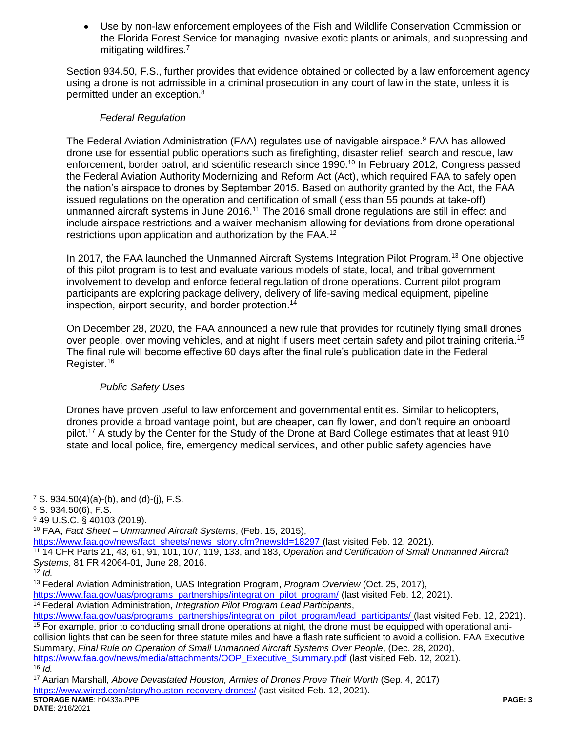Use by non-law enforcement employees of the Fish and Wildlife Conservation Commission or the Florida Forest Service for managing invasive exotic plants or animals, and suppressing and mitigating wildfires.<sup>7</sup>

Section 934.50, F.S., further provides that evidence obtained or collected by a law enforcement agency using a drone is not admissible in a criminal prosecution in any court of law in the state, unless it is permitted under an exception.<sup>8</sup>

#### *Federal Regulation*

The Federal Aviation Administration (FAA) regulates use of navigable airspace.<sup>9</sup> FAA has allowed drone use for essential public operations such as firefighting, disaster relief, search and rescue, law enforcement, border patrol, and scientific research since 1990.<sup>10</sup> In February 2012, Congress passed the Federal Aviation Authority Modernizing and Reform Act (Act), which required FAA to safely open the nation's airspace to drones by September 2015. Based on authority granted by the Act, the FAA issued regulations on the operation and certification of small (less than 55 pounds at take-off) unmanned aircraft systems in June 2016.<sup>11</sup> The 2016 small drone regulations are still in effect and include airspace restrictions and a waiver mechanism allowing for deviations from drone operational restrictions upon application and authorization by the FAA.<sup>12</sup>

In 2017, the FAA launched the Unmanned Aircraft Systems Integration Pilot Program.<sup>13</sup> One objective of this pilot program is to test and evaluate various models of state, local, and tribal government involvement to develop and enforce federal regulation of drone operations. Current pilot program participants are exploring package delivery, delivery of life-saving medical equipment, pipeline inspection, airport security, and border protection.<sup>14</sup>

On December 28, 2020, the FAA announced a new rule that provides for routinely flying small drones over people, over moving vehicles, and at night if users meet certain safety and pilot training criteria.<sup>15</sup> The final rule will become effective 60 days after the final rule's publication date in the Federal Register.<sup>16</sup>

## *Public Safety Uses*

Drones have proven useful to law enforcement and governmental entities. Similar to helicopters, drones provide a broad vantage point, but are cheaper, can fly lower, and don't require an onboard pilot.<sup>17</sup> A study by the Center for the Study of the Drone at Bard College estimates that at least 910 state and local police, fire, emergency medical services, and other public safety agencies have

 $\overline{a}$ 

[https://www.faa.gov/uas/programs\\_partnerships/integration\\_pilot\\_program/](https://www.faa.gov/uas/programs_partnerships/integration_pilot_program/) (last visited Feb. 12, 2021).

<sup>14</sup> Federal Aviation Administration, *Integration Pilot Program Lead Participants*,

<sup>&</sup>lt;sup>7</sup> S. 934.50(4)(a)-(b), and (d)-(j), F.S.

<sup>8</sup> S. 934.50(6), F.S.

<sup>9</sup> 49 U.S.C. § 40103 (2019).

<sup>10</sup> FAA, *Fact Sheet – Unmanned Aircraft Systems*, (Feb. 15, 2015),

[https://www.faa.gov/news/fact\\_sheets/news\\_story.cfm?newsId=18297](https://www.faa.gov/news/fact_sheets/news_story.cfm?newsId=18297) (last visited Feb. 12, 2021).

<sup>11</sup> 14 CFR Parts 21, 43, 61, 91, 101, 107, 119, 133, and 183, *Operation and Certification of Small Unmanned Aircraft Systems*, 81 FR 42064-01, June 28, 2016.

 $12$  *Id.* 

<sup>13</sup> Federal Aviation Administration, UAS Integration Program, *Program Overview* (Oct. 25, 2017),

[https://www.faa.gov/uas/programs\\_partnerships/integration\\_pilot\\_program/lead\\_participants/](https://www.faa.gov/uas/programs_partnerships/integration_pilot_program/lead_participants/) (last visited Feb. 12, 2021). <sup>15</sup> For example, prior to conducting small drone operations at night, the drone must be equipped with operational anticollision lights that can be seen for three statute miles and have a flash rate sufficient to avoid a collision. FAA Executive Summary, *Final Rule on Operation of Small Unmanned Aircraft Systems Over People*, (Dec. 28, 2020), [https://www.faa.gov/news/media/attachments/OOP\\_Executive\\_Summary.pdf](https://www.faa.gov/news/media/attachments/OOP_Executive_Summary.pdf) (last visited Feb. 12, 2021).

 $16$  *Id.* 

**STORAGE NAME**: h0433a.PPE **PAGE: 3** <sup>17</sup> Aarian Marshall, *Above Devastated Houston, Armies of Drones Prove Their Worth* (Sep. 4, 2017) <https://www.wired.com/story/houston-recovery-drones/> (last visited Feb. 12, 2021).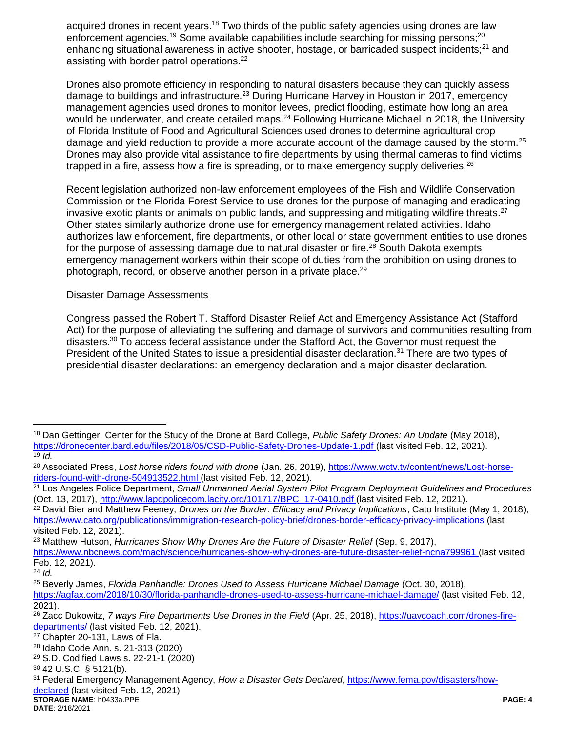acquired drones in recent years.<sup>18</sup> Two thirds of the public safety agencies using drones are law enforcement agencies.<sup>19</sup> Some available capabilities include searching for missing persons;<sup>20</sup> enhancing situational awareness in active shooter, hostage, or barricaded suspect incidents; $2<sup>1</sup>$  and assisting with border patrol operations.<sup>22</sup>

Drones also promote efficiency in responding to natural disasters because they can quickly assess damage to buildings and infrastructure.<sup>23</sup> During Hurricane Harvey in Houston in 2017, emergency management agencies used drones to monitor levees, predict flooding, estimate how long an area would be underwater, and create detailed maps.<sup>24</sup> Following Hurricane Michael in 2018, the University of Florida Institute of Food and Agricultural Sciences used drones to determine agricultural crop damage and yield reduction to provide a more accurate account of the damage caused by the storm.<sup>25</sup> Drones may also provide vital assistance to fire departments by using thermal cameras to find victims trapped in a fire, assess how a fire is spreading, or to make emergency supply deliveries.<sup>26</sup>

Recent legislation authorized non-law enforcement employees of the Fish and Wildlife Conservation Commission or the Florida Forest Service to use drones for the purpose of managing and eradicating invasive exotic plants or animals on public lands, and suppressing and mitigating wildfire threats. $27$ Other states similarly authorize drone use for emergency management related activities. Idaho authorizes law enforcement, fire departments, or other local or state government entities to use drones for the purpose of assessing damage due to natural disaster or fire.<sup>28</sup> South Dakota exempts emergency management workers within their scope of duties from the prohibition on using drones to photograph, record, or observe another person in a private place.<sup>29</sup>

#### Disaster Damage Assessments

Congress passed the Robert T. Stafford Disaster Relief Act and Emergency Assistance Act (Stafford Act) for the purpose of alleviating the suffering and damage of survivors and communities resulting from disasters.<sup>30</sup> To access federal assistance under the Stafford Act, the Governor must request the President of the United States to issue a presidential disaster declaration.<sup>31</sup> There are two types of presidential disaster declarations: an emergency declaration and a major disaster declaration.

<sup>22</sup> David Bier and Matthew Feeney, *Drones on the Border: Efficacy and Privacy Implications*, Cato Institute (May 1, 2018), <https://www.cato.org/publications/immigration-research-policy-brief/drones-border-efficacy-privacy-implications> (last visited Feb. 12, 2021).

<sup>23</sup> Matthew Hutson, *Hurricanes Show Why Drones Are the Future of Disaster Relief* (Sep. 9, 2017),

 $\overline{a}$ 

<sup>18</sup> Dan Gettinger, Center for the Study of the Drone at Bard College, *Public Safety Drones: An Update* (May 2018), <https://dronecenter.bard.edu/files/2018/05/CSD-Public-Safety-Drones-Update-1.pdf> (last visited Feb. 12, 2021).  $19$   $\overline{1d}$ .

<sup>20</sup> Associated Press, *Lost horse riders found with drone* (Jan. 26, 2019), [https://www.wctv.tv/content/news/Lost-horse](https://www.wctv.tv/content/news/Lost-horse-riders-found-with-drone-504913522.html)[riders-found-with-drone-504913522.html](https://www.wctv.tv/content/news/Lost-horse-riders-found-with-drone-504913522.html) (last visited Feb. 12, 2021).

<sup>21</sup> Los Angeles Police Department, *Small Unmanned Aerial System Pilot Program Deployment Guidelines and Procedures* (Oct. 13, 2017), [http://www.lapdpolicecom.lacity.org/101717/BPC\\_17-0410.pdf](http://www.lapdpolicecom.lacity.org/101717/BPC_17-0410.pdf) (last visited Feb. 12, 2021).

<https://www.nbcnews.com/mach/science/hurricanes-show-why-drones-are-future-disaster-relief-ncna799961> (last visited Feb. 12, 2021).

<sup>24</sup> *Id.*

<sup>25</sup> Beverly James, *Florida Panhandle: Drones Used to Assess Hurricane Michael Damage* (Oct. 30, 2018),

<https://agfax.com/2018/10/30/florida-panhandle-drones-used-to-assess-hurricane-michael-damage/> (last visited Feb. 12, 2021).

<sup>26</sup> Zacc Dukowitz, *7 ways Fire Departments Use Drones in the Field* (Apr. 25, 2018), [https://uavcoach.com/drones-fire](https://uavcoach.com/drones-fire-departments/)[departments/](https://uavcoach.com/drones-fire-departments/) (last visited Feb. 12, 2021).

<sup>27</sup> Chapter 20-131, Laws of Fla.

<sup>28</sup> Idaho Code Ann. s. 21-313 (2020)

<sup>29</sup> S.D. Codified Laws s. 22-21-1 (2020)

<sup>30</sup> 42 U.S.C. § 5121(b).

<sup>31</sup> Federal Emergency Management Agency, *How a Disaster Gets Declared*, [https://www.fema.gov/disasters/how](https://www.fema.gov/disasters/how-declared)[declared](https://www.fema.gov/disasters/how-declared) (last visited Feb. 12, 2021)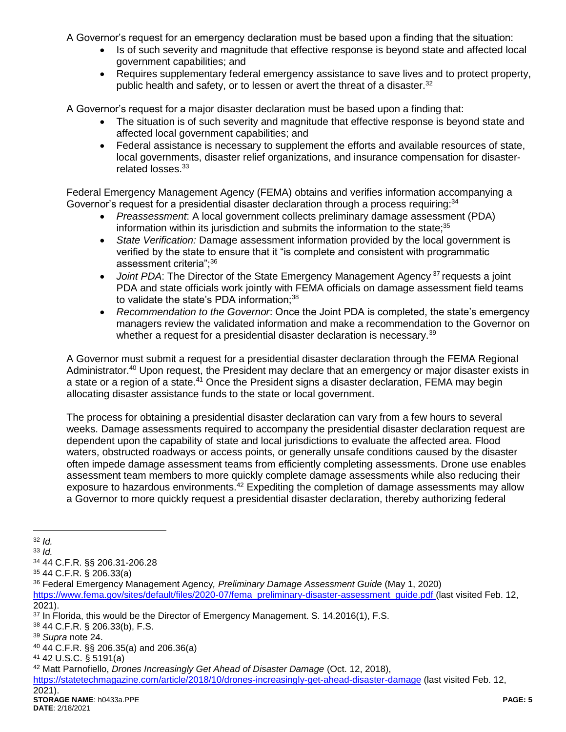A Governor's request for an emergency declaration must be based upon a finding that the situation:

- Is of such severity and magnitude that effective response is beyond state and affected local government capabilities; and
- Requires supplementary federal emergency assistance to save lives and to protect property, public health and safety, or to lessen or avert the threat of a disaster.<sup>32</sup>

A Governor's request for a major disaster declaration must be based upon a finding that:

- The situation is of such severity and magnitude that effective response is beyond state and affected local government capabilities; and
- Federal assistance is necessary to supplement the efforts and available resources of state, local governments, disaster relief organizations, and insurance compensation for disasterrelated losses.<sup>33</sup>

Federal Emergency Management Agency (FEMA) obtains and verifies information accompanying a Governor's request for a presidential disaster declaration through a process requiring:<sup>34</sup>

- *Preassessment*: A local government collects preliminary damage assessment (PDA) information within its jurisdiction and submits the information to the state; $35$
- *State Verification:* Damage assessment information provided by the local government is verified by the state to ensure that it "is complete and consistent with programmatic assessment criteria";<sup>36</sup>
- *Joint PDA*: The Director of the State Emergency Management Agency <sup>37</sup> requests a joint PDA and state officials work jointly with FEMA officials on damage assessment field teams to validate the state's PDA information;<sup>38</sup>
- *Recommendation to the Governor*: Once the Joint PDA is completed, the state's emergency managers review the validated information and make a recommendation to the Governor on whether a request for a presidential disaster declaration is necessary.<sup>39</sup>

A Governor must submit a request for a presidential disaster declaration through the FEMA Regional Administrator.<sup>40</sup> Upon request, the President may declare that an emergency or major disaster exists in a state or a region of a state.<sup>41</sup> Once the President signs a disaster declaration, FEMA may begin allocating disaster assistance funds to the state or local government.

The process for obtaining a presidential disaster declaration can vary from a few hours to several weeks. Damage assessments required to accompany the presidential disaster declaration request are dependent upon the capability of state and local jurisdictions to evaluate the affected area. Flood waters, obstructed roadways or access points, or generally unsafe conditions caused by the disaster often impede damage assessment teams from efficiently completing assessments. Drone use enables assessment team members to more quickly complete damage assessments while also reducing their exposure to hazardous environments.<sup>42</sup> Expediting the completion of damage assessments may allow a Governor to more quickly request a presidential disaster declaration, thereby authorizing federal

[https://www.fema.gov/sites/default/files/2020-07/fema\\_preliminary-disaster-assessment\\_guide.pdf](https://www.fema.gov/sites/default/files/2020-07/fema_preliminary-disaster-assessment_guide.pdf) (last visited Feb. 12, 2021).

 $\overline{a}$ <sup>32</sup> *Id.*

<sup>33</sup> *Id.*

<sup>34</sup> 44 C.F.R. §§ 206.31-206.28

<sup>35</sup> 44 C.F.R. § 206.33(a)

<sup>36</sup> Federal Emergency Management Agency*, Preliminary Damage Assessment Guide* (May 1, 2020)

<sup>&</sup>lt;sup>37</sup> In Florida, this would be the Director of Emergency Management. S. 14.2016(1), F.S.

<sup>38</sup> 44 C.F.R. § 206.33(b), F.S.

<sup>39</sup> *Supra* note 24.

<sup>40</sup> 44 C.F.R. §§ 206.35(a) and 206.36(a)

<sup>41</sup> 42 U.S.C. § 5191(a)

<sup>42</sup> Matt Parnofiello, *Drones Increasingly Get Ahead of Disaster Damage* (Oct. 12, 2018),

<https://statetechmagazine.com/article/2018/10/drones-increasingly-get-ahead-disaster-damage> (last visited Feb. 12,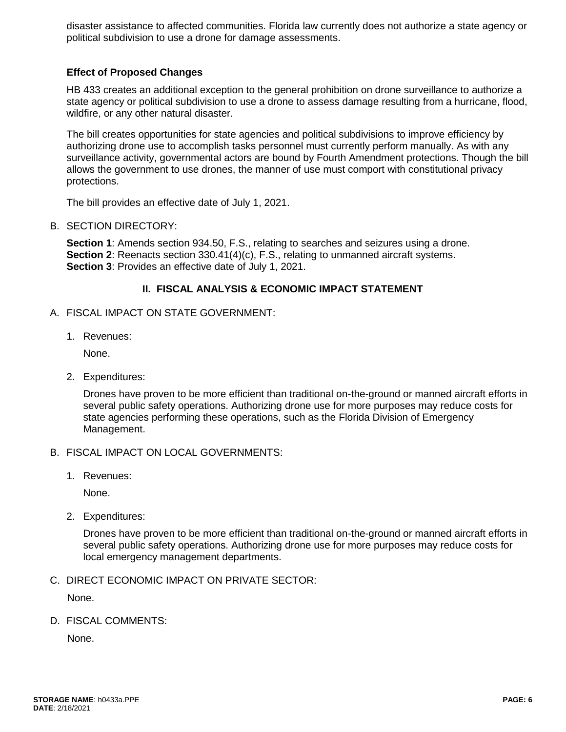disaster assistance to affected communities. Florida law currently does not authorize a state agency or political subdivision to use a drone for damage assessments.

#### **Effect of Proposed Changes**

HB 433 creates an additional exception to the general prohibition on drone surveillance to authorize a state agency or political subdivision to use a drone to assess damage resulting from a hurricane, flood, wildfire, or any other natural disaster.

The bill creates opportunities for state agencies and political subdivisions to improve efficiency by authorizing drone use to accomplish tasks personnel must currently perform manually. As with any surveillance activity, governmental actors are bound by Fourth Amendment protections. Though the bill allows the government to use drones, the manner of use must comport with constitutional privacy protections.

The bill provides an effective date of July 1, 2021.

B. SECTION DIRECTORY:

**Section 1**: Amends section 934.50, F.S., relating to searches and seizures using a drone. **Section 2**: Reenacts section 330.41(4)(c), F.S., relating to unmanned aircraft systems. **Section 3**: Provides an effective date of July 1, 2021.

#### **II. FISCAL ANALYSIS & ECONOMIC IMPACT STATEMENT**

- A. FISCAL IMPACT ON STATE GOVERNMENT:
	- 1. Revenues:

None.

2. Expenditures:

Drones have proven to be more efficient than traditional on-the-ground or manned aircraft efforts in several public safety operations. Authorizing drone use for more purposes may reduce costs for state agencies performing these operations, such as the Florida Division of Emergency Management.

- B. FISCAL IMPACT ON LOCAL GOVERNMENTS:
	- 1. Revenues:

None.

2. Expenditures:

Drones have proven to be more efficient than traditional on-the-ground or manned aircraft efforts in several public safety operations. Authorizing drone use for more purposes may reduce costs for local emergency management departments.

C. DIRECT ECONOMIC IMPACT ON PRIVATE SECTOR:

None.

D. FISCAL COMMENTS:

None.